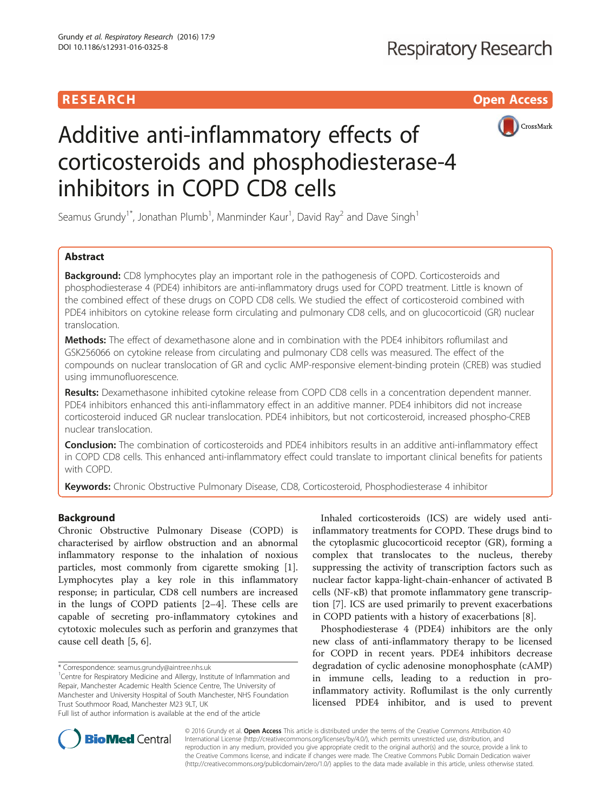# **RESEARCH CHILD CONTROL** CONTROL CONTROL CONTROL CONTROL CONTROL CONTROL CONTROL CONTROL CONTROL CONTROL CONTROL CONTROL CONTROL CONTROL CONTROL CONTROL CONTROL CONTROL CONTROL CONTROL CONTROL CONTROL CONTROL CONTROL CONTR



# Additive anti-inflammatory effects of corticosteroids and phosphodiesterase-4 inhibitors in COPD CD8 cells

Seamus Grundy<sup>1\*</sup>, Jonathan Plumb<sup>1</sup>, Manminder Kaur<sup>1</sup>, David Ray<sup>2</sup> and Dave Singh<sup>1</sup>

# Abstract

**Background:** CD8 lymphocytes play an important role in the pathogenesis of COPD. Corticosteroids and phosphodiesterase 4 (PDE4) inhibitors are anti-inflammatory drugs used for COPD treatment. Little is known of the combined effect of these drugs on COPD CD8 cells. We studied the effect of corticosteroid combined with PDE4 inhibitors on cytokine release form circulating and pulmonary CD8 cells, and on glucocorticoid (GR) nuclear translocation.

Methods: The effect of dexamethasone alone and in combination with the PDE4 inhibitors roflumilast and GSK256066 on cytokine release from circulating and pulmonary CD8 cells was measured. The effect of the compounds on nuclear translocation of GR and cyclic AMP-responsive element-binding protein (CREB) was studied using immunofluorescence.

Results: Dexamethasone inhibited cytokine release from COPD CD8 cells in a concentration dependent manner. PDE4 inhibitors enhanced this anti-inflammatory effect in an additive manner. PDE4 inhibitors did not increase corticosteroid induced GR nuclear translocation. PDE4 inhibitors, but not corticosteroid, increased phospho-CREB nuclear translocation.

**Conclusion:** The combination of corticosteroids and PDE4 inhibitors results in an additive anti-inflammatory effect in COPD CD8 cells. This enhanced anti-inflammatory effect could translate to important clinical benefits for patients with COPD.

Keywords: Chronic Obstructive Pulmonary Disease, CD8, Corticosteroid, Phosphodiesterase 4 inhibitor

# Background

Chronic Obstructive Pulmonary Disease (COPD) is characterised by airflow obstruction and an abnormal inflammatory response to the inhalation of noxious particles, most commonly from cigarette smoking [\[1](#page-9-0)]. Lymphocytes play a key role in this inflammatory response; in particular, CD8 cell numbers are increased in the lungs of COPD patients [[2](#page-9-0)–[4\]](#page-9-0). These cells are capable of secreting pro-inflammatory cytokines and cytotoxic molecules such as perforin and granzymes that cause cell death [[5](#page-9-0), [6](#page-9-0)].

\* Correspondence: [seamus.grundy@aintree.nhs.uk](mailto:seamus.grundy@aintree.nhs.uk) <sup>1</sup>

<sup>1</sup> Centre for Respiratory Medicine and Allergy, Institute of Inflammation and Repair, Manchester Academic Health Science Centre, The University of Manchester and University Hospital of South Manchester, NHS Foundation Trust Southmoor Road, Manchester M23 9LT, UK

Full list of author information is available at the end of the article

Inhaled corticosteroids (ICS) are widely used antiinflammatory treatments for COPD. These drugs bind to the cytoplasmic glucocorticoid receptor (GR), forming a complex that translocates to the nucleus, thereby suppressing the activity of transcription factors such as nuclear factor kappa-light-chain-enhancer of activated B cells (NF-κB) that promote inflammatory gene transcription [\[7](#page-9-0)]. ICS are used primarily to prevent exacerbations in COPD patients with a history of exacerbations [[8](#page-9-0)].

Phosphodiesterase 4 (PDE4) inhibitors are the only new class of anti-inflammatory therapy to be licensed for COPD in recent years. PDE4 inhibitors decrease degradation of cyclic adenosine monophosphate (cAMP) in immune cells, leading to a reduction in proinflammatory activity. Roflumilast is the only currently licensed PDE4 inhibitor, and is used to prevent



© 2016 Grundy et al. Open Access This article is distributed under the terms of the Creative Commons Attribution 4.0 International License [\(http://creativecommons.org/licenses/by/4.0/](http://creativecommons.org/licenses/by/4.0/)), which permits unrestricted use, distribution, and reproduction in any medium, provided you give appropriate credit to the original author(s) and the source, provide a link to the Creative Commons license, and indicate if changes were made. The Creative Commons Public Domain Dedication waiver [\(http://creativecommons.org/publicdomain/zero/1.0/](http://creativecommons.org/publicdomain/zero/1.0/)) applies to the data made available in this article, unless otherwise stated.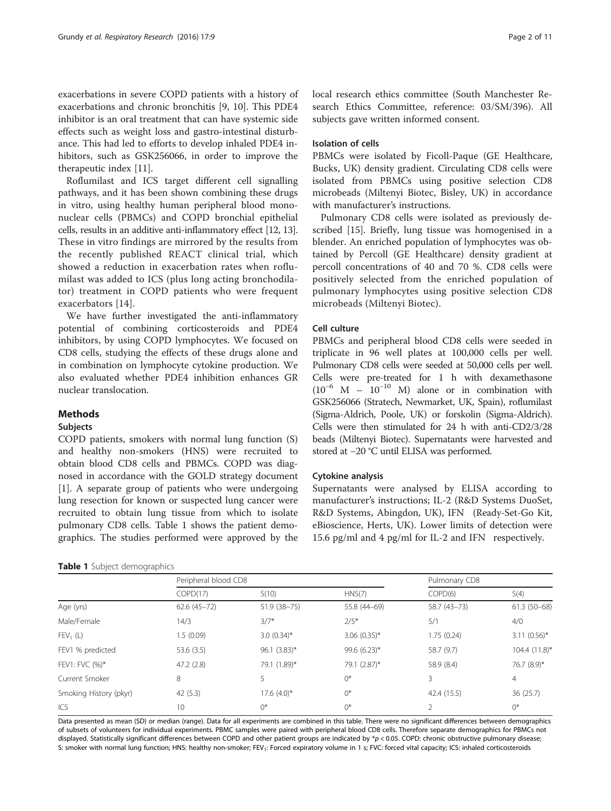exacerbations in severe COPD patients with a history of exacerbations and chronic bronchitis [[9](#page-9-0), [10\]](#page-9-0). This PDE4 inhibitor is an oral treatment that can have systemic side effects such as weight loss and gastro-intestinal disturbance. This had led to efforts to develop inhaled PDE4 inhibitors, such as GSK256066, in order to improve the therapeutic index [\[11\]](#page-9-0).

Roflumilast and ICS target different cell signalling pathways, and it has been shown combining these drugs in vitro, using healthy human peripheral blood mononuclear cells (PBMCs) and COPD bronchial epithelial cells, results in an additive anti-inflammatory effect [\[12](#page-9-0), [13](#page-9-0)]. These in vitro findings are mirrored by the results from the recently published REACT clinical trial, which showed a reduction in exacerbation rates when roflumilast was added to ICS (plus long acting bronchodilator) treatment in COPD patients who were frequent exacerbators [[14](#page-9-0)].

We have further investigated the anti-inflammatory potential of combining corticosteroids and PDE4 inhibitors, by using COPD lymphocytes. We focused on CD8 cells, studying the effects of these drugs alone and in combination on lymphocyte cytokine production. We also evaluated whether PDE4 inhibition enhances GR nuclear translocation.

## Methods

## Subjects

COPD patients, smokers with normal lung function (S) and healthy non-smokers (HNS) were recruited to obtain blood CD8 cells and PBMCs. COPD was diagnosed in accordance with the GOLD strategy document [[1\]](#page-9-0). A separate group of patients who were undergoing lung resection for known or suspected lung cancer were recruited to obtain lung tissue from which to isolate pulmonary CD8 cells. Table 1 shows the patient demographics. The studies performed were approved by the

## Table 1 Subject demographics

local research ethics committee (South Manchester Research Ethics Committee, reference: 03/SM/396). All subjects gave written informed consent.

## Isolation of cells

PBMCs were isolated by Ficoll-Paque (GE Healthcare, Bucks, UK) density gradient. Circulating CD8 cells were isolated from PBMCs using positive selection CD8 microbeads (Miltenyi Biotec, Bisley, UK) in accordance with manufacturer's instructions.

Pulmonary CD8 cells were isolated as previously described [\[15](#page-9-0)]. Briefly, lung tissue was homogenised in a blender. An enriched population of lymphocytes was obtained by Percoll (GE Healthcare) density gradient at percoll concentrations of 40 and 70 %. CD8 cells were positively selected from the enriched population of pulmonary lymphocytes using positive selection CD8 microbeads (Miltenyi Biotec).

## Cell culture

PBMCs and peripheral blood CD8 cells were seeded in triplicate in 96 well plates at 100,000 cells per well. Pulmonary CD8 cells were seeded at 50,000 cells per well. Cells were pre-treated for 1 h with dexamethasone  $(10^{-6}$  M –  $10^{-10}$  M) alone or in combination with GSK256066 (Stratech, Newmarket, UK, Spain), roflumilast (Sigma-Aldrich, Poole, UK) or forskolin (Sigma-Aldrich). Cells were then stimulated for 24 h with anti-CD2/3/28 beads (Miltenyi Biotec). Supernatants were harvested and stored at −20 °C until ELISA was performed.

#### Cytokine analysis

Supernatants were analysed by ELISA according to manufacturer's instructions; IL-2 (R&D Systems DuoSet, R&D Systems, Abingdon, UK), IFNγ (Ready-Set-Go Kit, eBioscience, Herts, UK). Lower limits of detection were 15.6 pg/ml and 4 pg/ml for IL-2 and IFNγ respectively.

|                        | Peripheral blood CD8 |                  |                | Pulmonary CD8 |                |
|------------------------|----------------------|------------------|----------------|---------------|----------------|
|                        | COPD(17)             | S(10)            | HNS(7)         | COPD(6)       | S(4)           |
| Age (yrs)              | $62.6(45-72)$        | 51.9 (38-75)     | 55.8 (44-69)   | 58.7 (43-73)  | $61.3(50-68)$  |
| Male/Female            | 14/3                 | $3/7*$           | $2/5*$         | 5/1           | 4/0            |
| $FEV_1(L)$             | 1.5(0.09)            | $3.0(0.34)$ *    | $3.06$ (0.35)* | 1.75(0.24)    | $3.11(0.56)$ * |
| FEV1 % predicted       | 53.6 (3.5)           | 96.1 $(3.83)^*$  | $99.6(6.23)$ * | 58.7 (9.7)    | 104.4 (11.8)*  |
| FEV1: FVC (%)*         | 47.2(2.8)            | 79.1 (1.89)*     | 79.1 (2.87)*   | 58.9 (8.4)    | 76.7 (8.9)*    |
| Current Smoker         | 8                    | 5                | 0*             | 3             | $\overline{4}$ |
| Smoking History (pkyr) | 42(5.3)              | $17.6$ $(4.0)$ * | 0*             | 42.4 (15.5)   | 36(25.7)       |
| ICS                    | 10                   | $0^*$            | $0^*$          | 2             | $0^*$          |

Data presented as mean (SD) or median (range). Data for all experiments are combined in this table. There were no significant differences between demographics of subsets of volunteers for individual experiments. PBMC samples were paired with peripheral blood CD8 cells. Therefore separate demographics for PBMCs not displayed. Statistically significant differences between COPD and other patient groups are indicated by  $*_p$  < 0.05. COPD: chronic obstructive pulmonary disease; S: smoker with normal lung function; HNS: healthy non-smoker; FEV<sub>1</sub>: Forced expiratory volume in 1 s; FVC: forced vital capacity; ICS: inhaled corticosteroids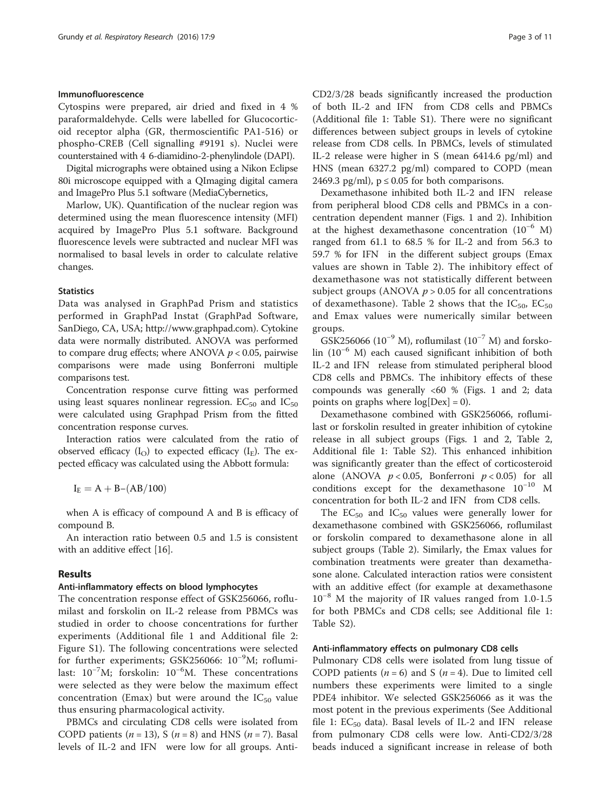## Immunofluorescence

Cytospins were prepared, air dried and fixed in 4 % paraformaldehyde. Cells were labelled for Glucocorticoid receptor alpha (GR, thermoscientific PA1-516) or phospho-CREB (Cell signalling #9191 s). Nuclei were counterstained with 4′6-diamidino-2-phenylindole (DAPI).

Digital micrographs were obtained using a Nikon Eclipse 80i microscope equipped with a QImaging digital camera and ImagePro Plus 5.1 software (MediaCybernetics,

Marlow, UK). Quantification of the nuclear region was determined using the mean fluorescence intensity (MFI) acquired by ImagePro Plus 5.1 software. Background fluorescence levels were subtracted and nuclear MFI was normalised to basal levels in order to calculate relative changes.

## **Statistics**

Data was analysed in GraphPad Prism and statistics performed in GraphPad Instat (GraphPad Software, SanDiego, CA, USA; [http://www.graphpad.com\)](http://www.graphpad.com/). Cytokine data were normally distributed. ANOVA was performed to compare drug effects; where ANOVA  $p < 0.05$ , pairwise comparisons were made using Bonferroni multiple comparisons test.

Concentration response curve fitting was performed using least squares nonlinear regression.  $EC_{50}$  and  $IC_{50}$ were calculated using Graphpad Prism from the fitted concentration response curves.

Interaction ratios were calculated from the ratio of observed efficacy  $(I<sub>O</sub>)$  to expected efficacy  $(I<sub>E</sub>)$ . The expected efficacy was calculated using the Abbott formula:

 $I_{E} = A + B - (AB/100)$ 

when A is efficacy of compound A and B is efficacy of compound B.

An interaction ratio between 0.5 and 1.5 is consistent with an additive effect [[16](#page--1-0)].

#### Results

## Anti-inflammatory effects on blood lymphocytes

The concentration response effect of GSK256066, roflumilast and forskolin on IL-2 release from PBMCs was studied in order to choose concentrations for further experiments (Additional file [1](#page-9-0) and Additional file [2](#page-9-0): Figure S1). The following concentrations were selected for further experiments; GSK256066: 10<sup>-9</sup>M; roflumilast: 10−<sup>7</sup> M; forskolin: 10−<sup>6</sup> M. These concentrations were selected as they were below the maximum effect concentration (Emax) but were around the  $IC_{50}$  value thus ensuring pharmacological activity.

PBMCs and circulating CD8 cells were isolated from COPD patients  $(n = 13)$ , S  $(n = 8)$  and HNS  $(n = 7)$ . Basal levels of IL-2 and IFNγ were low for all groups. AntiCD2/3/28 beads significantly increased the production of both IL-2 and IFNγ from CD8 cells and PBMCs (Additional file [1](#page-9-0): Table S1). There were no significant differences between subject groups in levels of cytokine release from CD8 cells. In PBMCs, levels of stimulated IL-2 release were higher in S (mean 6414.6 pg/ml) and HNS (mean 6327.2 pg/ml) compared to COPD (mean 2469.3 pg/ml),  $p \le 0.05$  for both comparisons.

Dexamethasone inhibited both IL-2 and IFNγ release from peripheral blood CD8 cells and PBMCs in a concentration dependent manner (Figs. [1](#page-3-0) and [2](#page-4-0)). Inhibition at the highest dexamethasone concentration  $(10^{-6}$  M) ranged from 61.1 to 68.5 % for IL-2 and from 56.3 to 59.7 % for IFNγ in the different subject groups (Emax values are shown in Table [2](#page-5-0)). The inhibitory effect of dexamethasone was not statistically different between subject groups (ANOVA  $p > 0.05$  for all concentrations of dexamethasone). Table [2](#page-5-0) shows that the  $IC_{50}$ ,  $EC_{50}$ and Emax values were numerically similar between groups.

GSK256066 (10<sup>-9</sup> M), roflumilast (10<sup>-7</sup> M) and forskolin (10−<sup>6</sup> M) each caused significant inhibition of both IL-2 and IFNγ release from stimulated peripheral blood CD8 cells and PBMCs. The inhibitory effects of these compounds was generally  $<60$  % (Figs. [1](#page-3-0) and [2](#page-4-0); data points on graphs where  $log[Dev] = 0$ .

Dexamethasone combined with GSK256066, roflumilast or forskolin resulted in greater inhibition of cytokine release in all subject groups (Figs. [1](#page-3-0) and [2,](#page-4-0) Table [2](#page-5-0), Additional file [1:](#page-9-0) Table S2). This enhanced inhibition was significantly greater than the effect of corticosteroid alone (ANOVA  $p < 0.05$ , Bonferroni  $p < 0.05$ ) for all conditions except for the dexamethasone 10−<sup>10</sup> M concentration for both IL-2 and IFNγ from CD8 cells.

The  $EC_{50}$  and  $IC_{50}$  values were generally lower for dexamethasone combined with GSK256066, roflumilast or forskolin compared to dexamethasone alone in all subject groups (Table [2](#page-5-0)). Similarly, the Emax values for combination treatments were greater than dexamethasone alone. Calculated interaction ratios were consistent with an additive effect (for example at dexamethasone 10−<sup>8</sup> M the majority of IR values ranged from 1.0-1.5 for both PBMCs and CD8 cells; see Additional file [1](#page-9-0): Table S2).

## Anti-inflammatory effects on pulmonary CD8 cells

Pulmonary CD8 cells were isolated from lung tissue of COPD patients ( $n = 6$ ) and S ( $n = 4$ ). Due to limited cell numbers these experiments were limited to a single PDE4 inhibitor. We selected GSK256066 as it was the most potent in the previous experiments (See Additional file [1](#page-9-0):  $EC_{50}$  data). Basal levels of IL-2 and IFNy release from pulmonary CD8 cells were low. Anti-CD2/3/28 beads induced a significant increase in release of both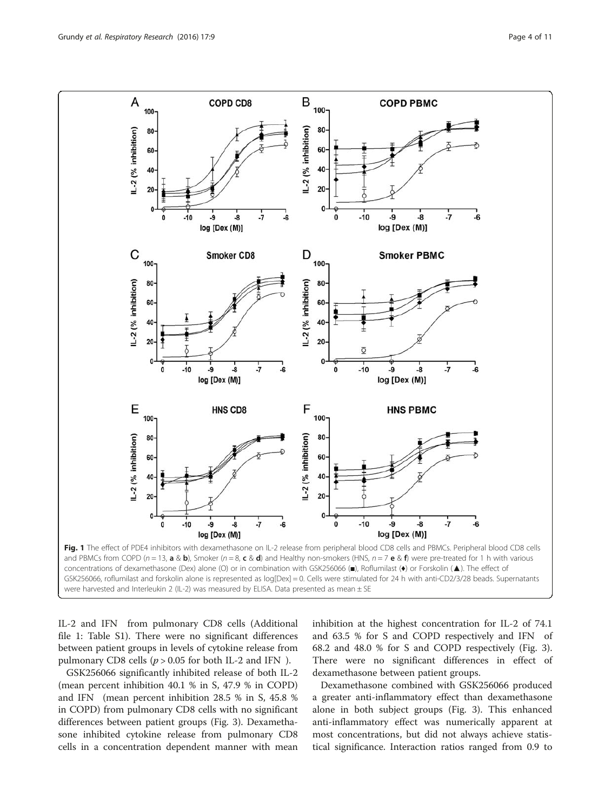<span id="page-3-0"></span>

were harvested and Interleukin 2 (IL-2) was measured by ELISA. Data presented as mean  $\pm$  SE

IL-2 and IFNγ from pulmonary CD8 cells (Additional file [1:](#page-9-0) Table S1). There were no significant differences between patient groups in levels of cytokine release from pulmonary CD8 cells ( $p > 0.05$  for both IL-2 and IFNy).

GSK256066 significantly inhibited release of both IL-2 (mean percent inhibition 40.1 % in S, 47.9 % in COPD) and IFNγ (mean percent inhibition 28.5 % in S, 45.8 % in COPD) from pulmonary CD8 cells with no significant differences between patient groups (Fig. [3\)](#page-6-0). Dexamethasone inhibited cytokine release from pulmonary CD8 cells in a concentration dependent manner with mean inhibition at the highest concentration for IL-2 of 74.1 and 63.5 % for S and COPD respectively and IFNγ of 68.2 and 48.0 % for S and COPD respectively (Fig. [3](#page-6-0)). There were no significant differences in effect of dexamethasone between patient groups.

Dexamethasone combined with GSK256066 produced a greater anti-inflammatory effect than dexamethasone alone in both subject groups (Fig. [3](#page-6-0)). This enhanced anti-inflammatory effect was numerically apparent at most concentrations, but did not always achieve statistical significance. Interaction ratios ranged from 0.9 to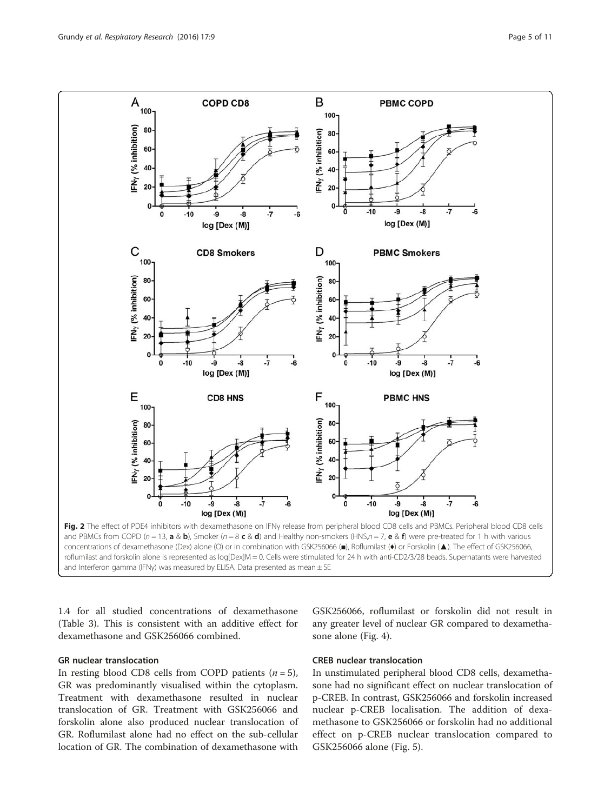<span id="page-4-0"></span>

roflumilast and forskolin alone is represented as log[Dex]M = 0. Cells were stimulated for 24 h with anti-CD2/3/28 beads. Supernatants were harvested and Interferon gamma (IFNγ) was measured by ELISA. Data presented as mean ± SE

1.4 for all studied concentrations of dexamethasone (Table [3](#page-6-0)). This is consistent with an additive effect for dexamethasone and GSK256066 combined.

# GR nuclear translocation

In resting blood CD8 cells from COPD patients  $(n = 5)$ , GR was predominantly visualised within the cytoplasm. Treatment with dexamethasone resulted in nuclear translocation of GR. Treatment with GSK256066 and forskolin alone also produced nuclear translocation of GR. Roflumilast alone had no effect on the sub-cellular location of GR. The combination of dexamethasone with

GSK256066, roflumilast or forskolin did not result in any greater level of nuclear GR compared to dexamethasone alone (Fig. [4\)](#page-7-0).

## CREB nuclear translocation

In unstimulated peripheral blood CD8 cells, dexamethasone had no significant effect on nuclear translocation of p-CREB. In contrast, GSK256066 and forskolin increased nuclear p-CREB localisation. The addition of dexamethasone to GSK256066 or forskolin had no additional effect on p-CREB nuclear translocation compared to GSK256066 alone (Fig. [5](#page-8-0)).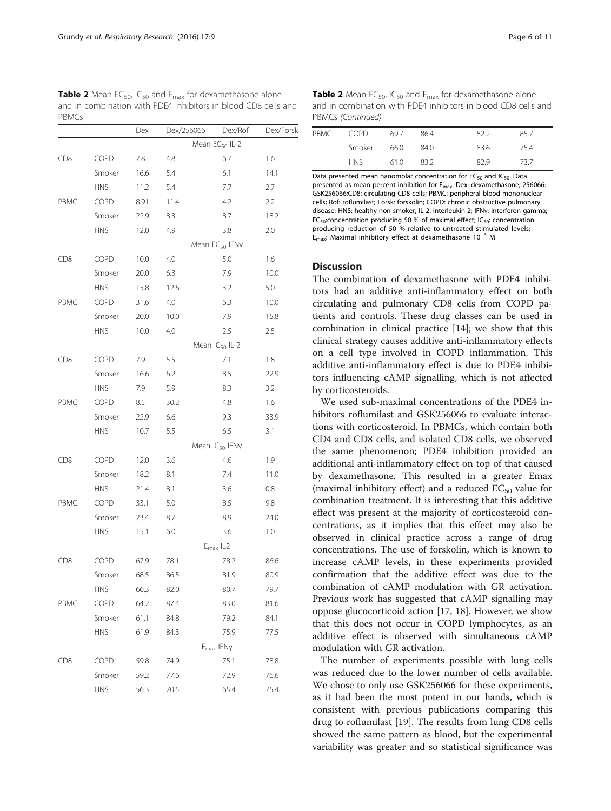<span id="page-5-0"></span>**Table 2** Mean EC<sub>50</sub>, IC<sub>50</sub> and E<sub>max</sub> for dexamethasone alone and in combination with PDE4 inhibitors in blood CD8 cells and PBMCs

|                 |             | Dex  | Dex/256066 | Dex/Rof                       | Dex/Forsk |
|-----------------|-------------|------|------------|-------------------------------|-----------|
|                 |             |      |            | Mean EC <sub>50</sub> IL-2    |           |
| CD8             | COPD        | 7.8  | 4.8        | 6.7                           | 1.6       |
|                 | Smoker      | 16.6 | 5.4        | 6.1                           | 14.1      |
|                 | <b>HNS</b>  | 11.2 | 5.4        | 7.7                           | 2.7       |
| PBMC            | <b>COPD</b> | 8.91 | 11.4       | 4.2                           | 2.2       |
|                 | Smoker      | 22.9 | 8.3        | 8.7                           | 18.2      |
|                 | <b>HNS</b>  | 12.0 | 4.9        | 3.8                           | 2.0       |
|                 |             |      |            | Mean EC <sub>50</sub> IFNy    |           |
| CD <sub>8</sub> | COPD        | 10.0 | 4.0        | 5.0                           | 1.6       |
|                 | Smoker      | 20.0 | 6.3        | 7.9                           | 10.0      |
|                 | <b>HNS</b>  | 15.8 | 12.6       | 3.2                           | 5.0       |
| PBMC            | COPD        | 31.6 | 4.0        | 6.3                           | 10.0      |
|                 | Smoker      | 20.0 | 10.0       | 7.9                           | 15.8      |
|                 | <b>HNS</b>  | 10.0 | 4.0        | 2.5                           | 2.5       |
|                 |             |      |            | Mean IC <sub>50</sub> IL-2    |           |
| CD <sub>8</sub> | COPD        | 7.9  | 5.5        | 7.1                           | 1.8       |
|                 | Smoker      | 16.6 | 6.2        | 8.5                           | 22.9      |
|                 | <b>HNS</b>  | 7.9  | 5.9        | 8.3                           | 3.2       |
| PBMC            | COPD        | 8.5  | 30.2       | 4.8                           | 1.6       |
|                 | Smoker      | 22.9 | 6.6        | 9.3                           | 33.9      |
|                 | <b>HNS</b>  | 10.7 | 5.5        | 6.5                           | 3.1       |
|                 |             |      |            | Mean IC <sub>50</sub> IFNy    |           |
| CD8             | COPD        | 12.0 | 3.6        | 4.6                           | 1.9       |
|                 | Smoker      | 18.2 | 8.1        | 7.4                           | 11.0      |
|                 | <b>HNS</b>  | 21.4 | 8.1        | 3.6                           | 0.8       |
| PBMC            | <b>COPD</b> | 33.1 | 5.0        | 8.5                           | 9.8       |
|                 | Smoker      | 23.4 | 8.7        | 8.9                           | 24.0      |
|                 | <b>HNS</b>  | 15.1 | 6.0        | 3.6                           | 1.0       |
|                 |             |      |            | $E_{\text{max}}$ IL2          |           |
| CD8             | COPD        | 67.9 | 78.1       | 78.2                          | 86.6      |
|                 | Smoker      | 68.5 | 86.5       | 81.9                          | 80.9      |
|                 | <b>HNS</b>  | 66.3 | 82.0       | 80.7                          | 79.7      |
| PBMC            | COPD        | 64.2 | 87.4       | 83.0                          | 81.6      |
|                 | Smoker      | 61.1 | 84.8       | 79.2                          | 84.1      |
|                 | <b>HNS</b>  | 61.9 | 84.3       | 75.9                          | 77.5      |
|                 |             |      |            | $E_{\text{max}}$ IFN $\gamma$ |           |
| CD8             | COPD        | 59.8 | 74.9       | 75.1                          | 78.8      |
|                 | Smoker      | 59.2 | 77.6       | 72.9                          | 76.6      |
|                 | <b>HNS</b>  | 56.3 | 70.5       | 65.4                          | 75.4      |

**Table 2** Mean EC<sub>50</sub>, IC<sub>50</sub> and E<sub>max</sub> for dexamethasone alone and in combination with PDE4 inhibitors in blood CD8 cells and PBMCs (Continued)

| PBMC | COPD.      | 697  | 864  | 822  | 85.7 |  |
|------|------------|------|------|------|------|--|
|      | Smoker     | 66.0 | 84.0 | 83.6 | 75.4 |  |
|      | <b>HNS</b> | 610  | 83.2 | 829  | 73.7 |  |

Data presented mean nanomolar concentration for  $EC_{50}$  and  $IC_{50}$ . Data presented as mean percent inhibition for E<sub>max</sub>. Dex: dexamethasone; 256066: GSK256066;CD8: circulating CD8 cells; PBMC: peripheral blood mononuclear cells; Rof: roflumilast; Forsk: forskolin; COPD: chronic obstructive pulmonary disease; HNS: healthy non-smoker; IL-2: interleukin 2; IFNγ: interferon gamma; EC<sub>50</sub>: concentration producing 50 % of maximal effect; IC<sub>50</sub>: concentration producing reduction of 50 % relative to untreated stimulated levels; Emax: Maximal inhibitory effect at dexamethasone 10<sup>−</sup><sup>6</sup> M

## Discussion

The combination of dexamethasone with PDE4 inhibitors had an additive anti-inflammatory effect on both circulating and pulmonary CD8 cells from COPD patients and controls. These drug classes can be used in combination in clinical practice [\[14](#page-9-0)]; we show that this clinical strategy causes additive anti-inflammatory effects on a cell type involved in COPD inflammation. This additive anti-inflammatory effect is due to PDE4 inhibitors influencing cAMP signalling, which is not affected by corticosteroids.

We used sub-maximal concentrations of the PDE4 inhibitors roflumilast and GSK256066 to evaluate interactions with corticosteroid. In PBMCs, which contain both CD4 and CD8 cells, and isolated CD8 cells, we observed the same phenomenon; PDE4 inhibition provided an additional anti-inflammatory effect on top of that caused by dexamethasone. This resulted in a greater Emax (maximal inhibitory effect) and a reduced  $EC_{50}$  value for combination treatment. It is interesting that this additive effect was present at the majority of corticosteroid concentrations, as it implies that this effect may also be observed in clinical practice across a range of drug concentrations. The use of forskolin, which is known to increase cAMP levels, in these experiments provided confirmation that the additive effect was due to the combination of cAMP modulation with GR activation. Previous work has suggested that cAMP signalling may oppose glucocorticoid action [\[17, 18\]](#page--1-0). However, we show that this does not occur in COPD lymphocytes, as an additive effect is observed with simultaneous cAMP modulation with GR activation.

The number of experiments possible with lung cells was reduced due to the lower number of cells available. We chose to only use GSK256066 for these experiments, as it had been the most potent in our hands, which is consistent with previous publications comparing this drug to roflumilast [\[19](#page--1-0)]. The results from lung CD8 cells showed the same pattern as blood, but the experimental variability was greater and so statistical significance was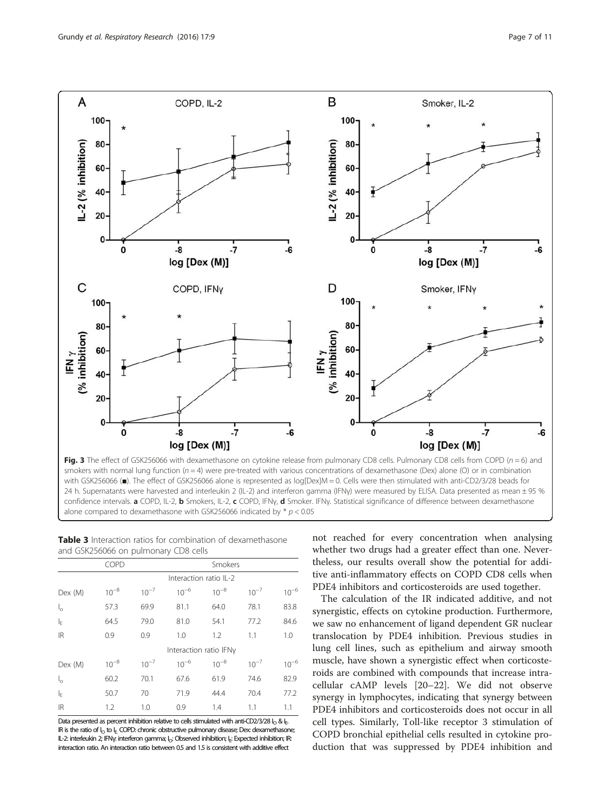<span id="page-6-0"></span>

smokers with normal lung function ( $n = 4$ ) were pre-treated with various concentrations of dexamethasone (Dex) alone (O) or in combination with GSK256066 (■). The effect of GSK256066 alone is represented as log[Dex]M = 0. Cells were then stimulated with anti-CD2/3/28 beads for 24 h. Supernatants were harvested and interleukin 2 (IL-2) and interferon gamma (IFNγ) were measured by ELISA. Data presented as mean ± 95 % confidence intervals. a COPD, IL-2, b Smokers, IL-2, c COPD, IFNγ, d Smoker. IFNγ. Statistical significance of difference between dexamethasone alone compared to dexamethasone with GSK256066 indicated by  $*$   $p < 0.05$ 

| <b>Table 3</b> Interaction ratios for combination of dexamethasone |  |
|--------------------------------------------------------------------|--|
| and GSK256066 on pulmonary CD8 cells                               |  |

|                      | COPD      |                        |                        |           | Smokers   |           |  |  |
|----------------------|-----------|------------------------|------------------------|-----------|-----------|-----------|--|--|
|                      |           | Interaction ratio IL-2 |                        |           |           |           |  |  |
| Dex (M)              | $10^{-8}$ | $10^{-7}$              | $10^{-6}$              | $10^{-8}$ | $10^{-7}$ | $10^{-6}$ |  |  |
| $\mathsf{I}_\circ$   | 57.3      | 69.9                   | 81.1                   | 64.0      | 78.1      | 83.8      |  |  |
| l <sub>F</sub>       | 64.5      | 79.0                   | 81.0                   | 54.1      | 77.2      | 84.6      |  |  |
| <b>IR</b>            | 0.9       | 0.9                    | 1.0                    | 1.2       | 1.1       | 1.0       |  |  |
|                      |           |                        | Interaction ratio IFNy |           |           |           |  |  |
| Dev (M)              | $10^{-8}$ | $10^{-7}$              | $10^{-6}$              | $10^{-8}$ | $10^{-7}$ | $10^{-6}$ |  |  |
| $\mathsf{I}_{\circ}$ | 60.2      | 70.1                   | 67.6                   | 61.9      | 74.6      | 82.9      |  |  |
| lF.                  | 50.7      | 70                     | 71.9                   | 44.4      | 70.4      | 77.2      |  |  |
| <b>IR</b>            | 1.2       | 1.0                    | 0.9                    | 1.4       | 1.1       | 1.1       |  |  |

Data presented as percent inhibition relative to cells stimulated with anti-CD2/3/28  $I_0$  &  $I_E$ . IR is the ratio of  $I_{\Omega}$  to I<sub>E</sub>. COPD: chronic obstructive pulmonary disease; Dex: dexamethasone; IL-2: interleukin 2; IFNγ: interferon gamma; I<sub>O</sub>: Observed inhibition; I<sub>E</sub>: Expected inhibition; IR: interaction ratio. An interaction ratio between 0.5 and 1.5 is consistent with additive effect

not reached for every concentration when analysing whether two drugs had a greater effect than one. Nevertheless, our results overall show the potential for additive anti-inflammatory effects on COPD CD8 cells when PDE4 inhibitors and corticosteroids are used together.

The calculation of the IR indicated additive, and not synergistic, effects on cytokine production. Furthermore, we saw no enhancement of ligand dependent GR nuclear translocation by PDE4 inhibition. Previous studies in lung cell lines, such as epithelium and airway smooth muscle, have shown a synergistic effect when corticosteroids are combined with compounds that increase intracellular cAMP levels [\[20](#page--1-0)–[22\]](#page--1-0). We did not observe synergy in lymphocytes, indicating that synergy between PDE4 inhibitors and corticosteroids does not occur in all cell types. Similarly, Toll-like receptor 3 stimulation of COPD bronchial epithelial cells resulted in cytokine production that was suppressed by PDE4 inhibition and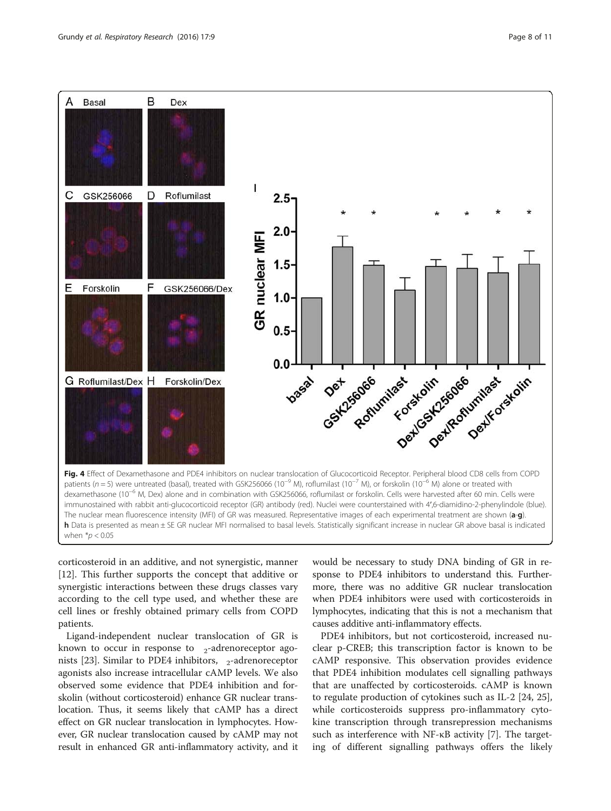<span id="page-7-0"></span>

corticosteroid in an additive, and not synergistic, manner [[12\]](#page-9-0). This further supports the concept that additive or synergistic interactions between these drugs classes vary according to the cell type used, and whether these are cell lines or freshly obtained primary cells from COPD patients.

Ligand-independent nuclear translocation of GR is known to occur in response to  $\beta_2$ -adrenoreceptor ago-nists [\[23\]](#page--1-0). Similar to PDE4 inhibitors,  $β_2$ -adrenoreceptor agonists also increase intracellular cAMP levels. We also observed some evidence that PDE4 inhibition and forskolin (without corticosteroid) enhance GR nuclear translocation. Thus, it seems likely that cAMP has a direct effect on GR nuclear translocation in lymphocytes. However, GR nuclear translocation caused by cAMP may not result in enhanced GR anti-inflammatory activity, and it

would be necessary to study DNA binding of GR in response to PDE4 inhibitors to understand this. Furthermore, there was no additive GR nuclear translocation when PDE4 inhibitors were used with corticosteroids in lymphocytes, indicating that this is not a mechanism that causes additive anti-inflammatory effects.

PDE4 inhibitors, but not corticosteroid, increased nuclear p-CREB; this transcription factor is known to be cAMP responsive. This observation provides evidence that PDE4 inhibition modulates cell signalling pathways that are unaffected by corticosteroids. cAMP is known to regulate production of cytokines such as IL-2 [\[24](#page--1-0), [25](#page--1-0)], while corticosteroids suppress pro-inflammatory cytokine transcription through transrepression mechanisms such as interference with NF-κB activity [\[7](#page-9-0)]. The targeting of different signalling pathways offers the likely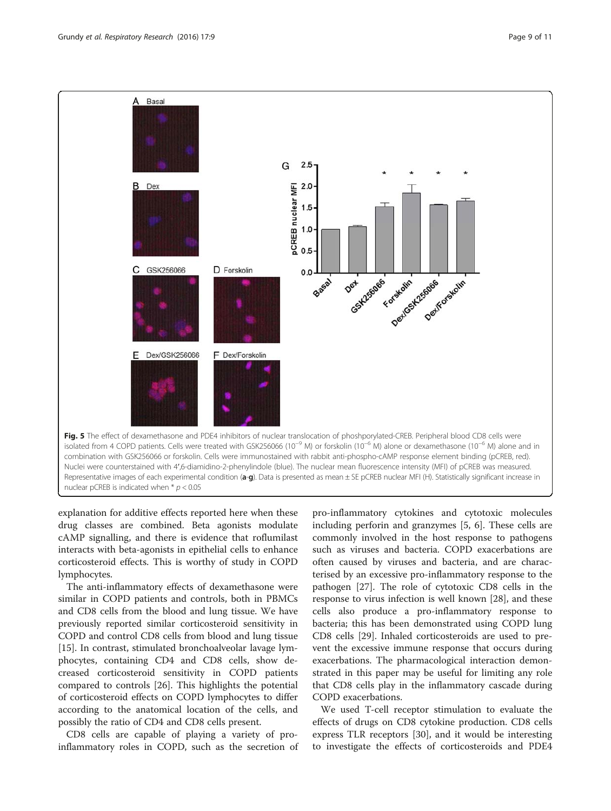<span id="page-8-0"></span>

explanation for additive effects reported here when these drug classes are combined. Beta agonists modulate cAMP signalling, and there is evidence that roflumilast interacts with beta-agonists in epithelial cells to enhance corticosteroid effects. This is worthy of study in COPD lymphocytes.

The anti-inflammatory effects of dexamethasone were similar in COPD patients and controls, both in PBMCs and CD8 cells from the blood and lung tissue. We have previously reported similar corticosteroid sensitivity in COPD and control CD8 cells from blood and lung tissue [[15\]](#page-9-0). In contrast, stimulated bronchoalveolar lavage lymphocytes, containing CD4 and CD8 cells, show decreased corticosteroid sensitivity in COPD patients compared to controls [\[26](#page--1-0)]. This highlights the potential of corticosteroid effects on COPD lymphocytes to differ according to the anatomical location of the cells, and possibly the ratio of CD4 and CD8 cells present.

CD8 cells are capable of playing a variety of proinflammatory roles in COPD, such as the secretion of

pro-inflammatory cytokines and cytotoxic molecules including perforin and granzymes [[5, 6\]](#page-9-0). These cells are commonly involved in the host response to pathogens such as viruses and bacteria. COPD exacerbations are often caused by viruses and bacteria, and are characterised by an excessive pro-inflammatory response to the pathogen [\[27](#page--1-0)]. The role of cytotoxic CD8 cells in the response to virus infection is well known [[28\]](#page--1-0), and these cells also produce a pro-inflammatory response to bacteria; this has been demonstrated using COPD lung CD8 cells [\[29](#page--1-0)]. Inhaled corticosteroids are used to prevent the excessive immune response that occurs during exacerbations. The pharmacological interaction demonstrated in this paper may be useful for limiting any role that CD8 cells play in the inflammatory cascade during COPD exacerbations.

We used T-cell receptor stimulation to evaluate the effects of drugs on CD8 cytokine production. CD8 cells express TLR receptors [\[30](#page--1-0)], and it would be interesting to investigate the effects of corticosteroids and PDE4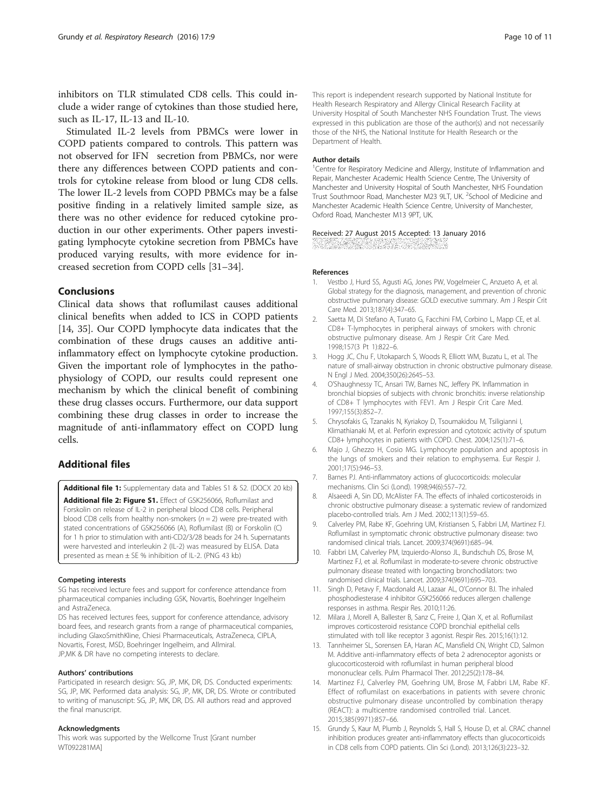<span id="page-9-0"></span>inhibitors on TLR stimulated CD8 cells. This could include a wider range of cytokines than those studied here, such as IL-17, IL-13 and IL-10.

Stimulated IL-2 levels from PBMCs were lower in COPD patients compared to controls. This pattern was not observed for IFNγ secretion from PBMCs, nor were there any differences between COPD patients and controls for cytokine release from blood or lung CD8 cells. The lower IL-2 levels from COPD PBMCs may be a false positive finding in a relatively limited sample size, as there was no other evidence for reduced cytokine production in our other experiments. Other papers investigating lymphocyte cytokine secretion from PBMCs have produced varying results, with more evidence for increased secretion from COPD cells [[31](#page--1-0)–[34](#page--1-0)].

## Conclusions

Clinical data shows that roflumilast causes additional clinical benefits when added to ICS in COPD patients [14, [35](#page--1-0)]. Our COPD lymphocyte data indicates that the combination of these drugs causes an additive antiinflammatory effect on lymphocyte cytokine production. Given the important role of lymphocytes in the pathophysiology of COPD, our results could represent one mechanism by which the clinical benefit of combining these drug classes occurs. Furthermore, our data support combining these drug classes in order to increase the magnitude of anti-inflammatory effect on COPD lung cells.

## Additional files

[Additional file 1:](dx.doi.org/10.1186/s12931-016-0325-8) Supplementary data and Tables S1 & S2. (DOCX 20 kb) [Additional file 2: Figure S1.](dx.doi.org/10.1186/s12931-016-0325-8) Effect of GSK256066, Roflumilast and Forskolin on release of IL-2 in peripheral blood CD8 cells. Peripheral blood CD8 cells from healthy non-smokers ( $n = 2$ ) were pre-treated with stated concentrations of GSK256066 (A), Roflumilast (B) or Forskolin (C) for 1 h prior to stimulation with anti-CD2/3/28 beads for 24 h. Supernatants were harvested and interleukin 2 (IL-2) was measured by ELISA. Data presented as mean ± SE % inhibition of IL-2. (PNG 43 kb)

#### Competing interests

SG has received lecture fees and support for conference attendance from pharmaceutical companies including GSK, Novartis, Boehringer Ingelheim and AstraZeneca.

DS has received lectures fees, support for conference attendance, advisory board fees, and research grants from a range of pharmaceutical companies, including GlaxoSmithKline, Chiesi Pharmaceuticals, AstraZeneca, CIPLA, Novartis, Forest, MSD, Boehringer Ingelheim, and Allmiral. JP,MK & DR have no competing interests to declare.

#### Authors' contributions

Participated in research design: SG, JP, MK, DR, DS. Conducted experiments: SG, JP, MK. Performed data analysis: SG, JP, MK, DR, DS. Wrote or contributed to writing of manuscript: SG, JP, MK, DR, DS. All authors read and approved the final manuscript.

#### Acknowledgments

This work was supported by the Wellcome Trust [Grant number WT092281MA]

This report is independent research supported by National Institute for Health Research Respiratory and Allergy Clinical Research Facility at University Hospital of South Manchester NHS Foundation Trust. The views expressed in this publication are those of the author(s) and not necessarily those of the NHS, the National Institute for Health Research or the Department of Health.

#### Author details

<sup>1</sup> Centre for Respiratory Medicine and Allergy, Institute of Inflammation and Repair, Manchester Academic Health Science Centre, The University of Manchester and University Hospital of South Manchester, NHS Foundation Trust Southmoor Road, Manchester M23 9LT, UK. <sup>2</sup>School of Medicine and Manchester Academic Health Science Centre, University of Manchester, Oxford Road, Manchester M13 9PT, UK.

#### Received: 27 August 2015 Accepted: 13 January 2016

#### References

- 1. Vestbo J, Hurd SS, Agusti AG, Jones PW, Vogelmeier C, Anzueto A, et al. Global strategy for the diagnosis, management, and prevention of chronic obstructive pulmonary disease: GOLD executive summary. Am J Respir Crit Care Med. 2013;187(4):347–65.
- 2. Saetta M, Di Stefano A, Turato G, Facchini FM, Corbino L, Mapp CE, et al. CD8+ T-lymphocytes in peripheral airways of smokers with chronic obstructive pulmonary disease. Am J Respir Crit Care Med. 1998;157(3 Pt 1):822–6.
- 3. Hogg JC, Chu F, Utokaparch S, Woods R, Elliott WM, Buzatu L, et al. The nature of small-airway obstruction in chronic obstructive pulmonary disease. N Engl J Med. 2004;350(26):2645–53.
- 4. O'Shaughnessy TC, Ansari TW, Barnes NC, Jeffery PK. Inflammation in bronchial biopsies of subjects with chronic bronchitis: inverse relationship of CD8+ T lymphocytes with FEV1. Am J Respir Crit Care Med. 1997;155(3):852–7.
- 5. Chrysofakis G, Tzanakis N, Kyriakoy D, Tsoumakidou M, Tsiligianni I, Klimathianaki M, et al. Perforin expression and cytotoxic activity of sputum CD8+ lymphocytes in patients with COPD. Chest. 2004;125(1):71–6.
- 6. Majo J, Ghezzo H, Cosio MG. Lymphocyte population and apoptosis in the lungs of smokers and their relation to emphysema. Eur Respir J. 2001;17(5):946–53.
- 7. Barnes PJ. Anti-inflammatory actions of glucocorticoids: molecular mechanisms. Clin Sci (Lond). 1998;94(6):557–72.
- 8. Alsaeedi A, Sin DD, McAlister FA. The effects of inhaled corticosteroids in chronic obstructive pulmonary disease: a systematic review of randomized placebo-controlled trials. Am J Med. 2002;113(1):59–65.
- 9. Calverley PM, Rabe KF, Goehring UM, Kristiansen S, Fabbri LM, Martinez FJ. Roflumilast in symptomatic chronic obstructive pulmonary disease: two randomised clinical trials. Lancet. 2009;374(9691):685–94.
- 10. Fabbri LM, Calverley PM, Izquierdo-Alonso JL, Bundschuh DS, Brose M, Martinez FJ, et al. Roflumilast in moderate-to-severe chronic obstructive pulmonary disease treated with longacting bronchodilators: two randomised clinical trials. Lancet. 2009;374(9691):695–703.
- 11. Singh D, Petavy F, Macdonald AJ, Lazaar AL, O'Connor BJ. The inhaled phosphodiesterase 4 inhibitor GSK256066 reduces allergen challenge responses in asthma. Respir Res. 2010;11:26.
- 12. Milara J, Morell A, Ballester B, Sanz C, Freire J, Qian X, et al. Roflumilast improves corticosteroid resistance COPD bronchial epithelial cells stimulated with toll like receptor 3 agonist. Respir Res. 2015;16(1):12.
- 13. Tannheimer SL, Sorensen EA, Haran AC, Mansfield CN, Wright CD, Salmon M. Additive anti-inflammatory effects of beta 2 adrenoceptor agonists or glucocorticosteroid with roflumilast in human peripheral blood mononuclear cells. Pulm Pharmacol Ther. 2012;25(2):178–84.
- 14. Martinez FJ, Calverley PM, Goehring UM, Brose M, Fabbri LM, Rabe KF. Effect of roflumilast on exacerbations in patients with severe chronic obstructive pulmonary disease uncontrolled by combination therapy (REACT): a multicentre randomised controlled trial. Lancet. 2015;385(9971):857–66.
- 15. Grundy S, Kaur M, Plumb J, Reynolds S, Hall S, House D, et al. CRAC channel inhibition produces greater anti-inflammatory effects than glucocorticoids in CD8 cells from COPD patients. Clin Sci (Lond). 2013;126(3):223–32.